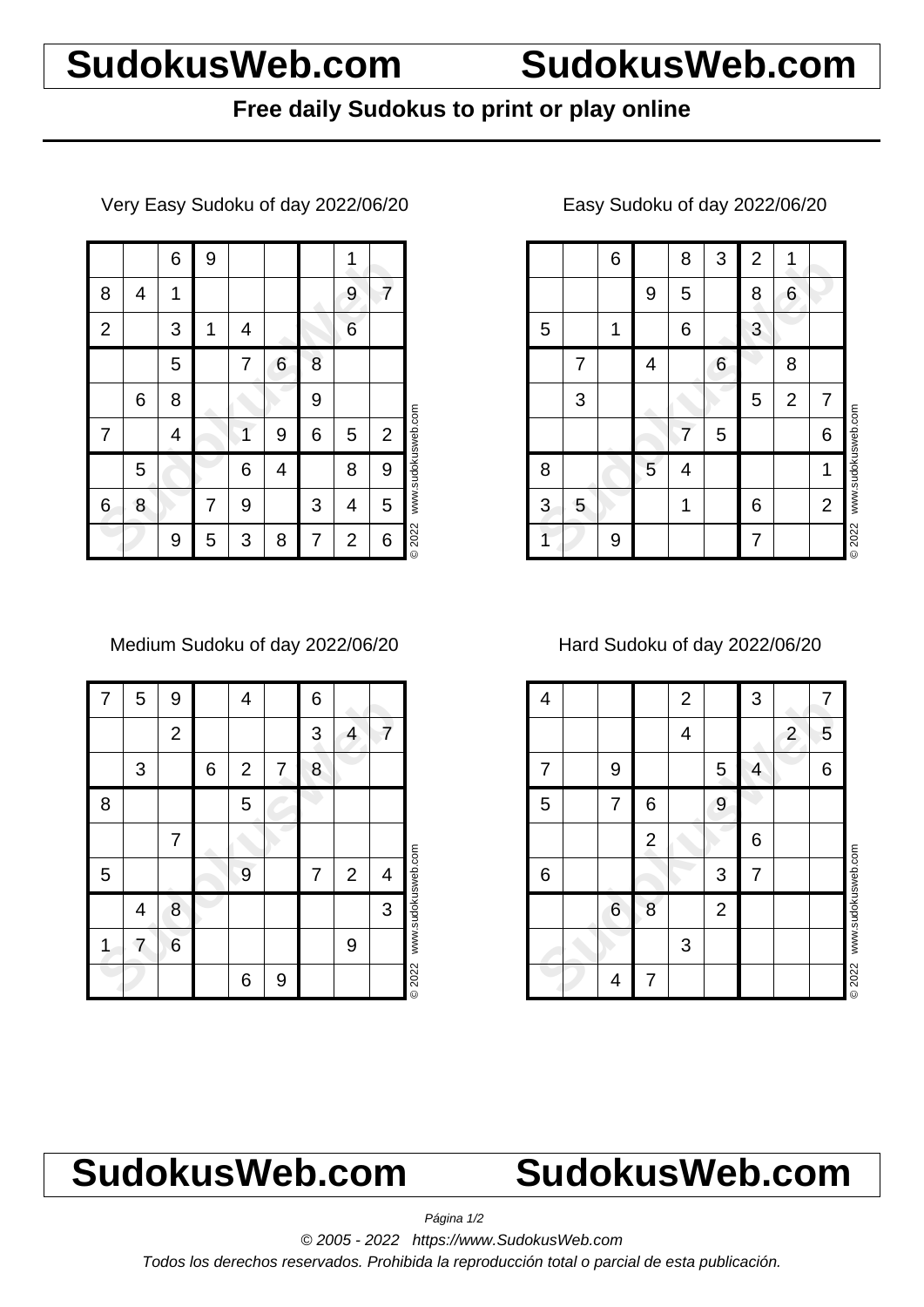# **SudokusWeb.com SudokusWeb.com**

### **Free daily Sudokus to print or play online**

Very Easy Sudoku of day 2022/06/20

|                |   | 6 | 9 |   |   |   |                |                |                    |
|----------------|---|---|---|---|---|---|----------------|----------------|--------------------|
| 8              | 4 | 1 |   |   |   |   | 9              | 7              |                    |
| $\overline{2}$ |   | 3 | 1 | 4 |   |   | 6              |                |                    |
|                |   | 5 |   | 7 | 6 | 8 |                |                |                    |
|                | 6 | 8 |   |   |   | 9 |                |                |                    |
| 7              |   | 4 |   | 1 | 9 | 6 | 5              | $\overline{2}$ | www.sudokusweb.com |
|                | 5 |   |   | 6 | 4 |   | 8              | 9              |                    |
| 6              | 8 |   | 7 | 9 |   | 3 | 4              | 5              |                    |
|                |   | 9 | 5 | 3 | 8 | 7 | $\overline{2}$ | 6              | © 2022             |

Medium Sudoku of day 2022/06/20

| 7 | 5 | 9              |   | 4              |   | 6 |                |   |                    |
|---|---|----------------|---|----------------|---|---|----------------|---|--------------------|
|   |   | $\overline{2}$ |   |                |   | 3 | 4              | 7 |                    |
|   | 3 |                | 6 | $\overline{2}$ | 7 | 8 |                |   |                    |
| 8 |   |                |   | 5              |   |   |                |   |                    |
|   |   | 7              |   |                |   |   |                |   |                    |
| 5 |   |                |   | 9              |   | 7 | $\overline{2}$ | 4 |                    |
|   | 4 | 8              |   |                |   |   |                | 3 | www.sudokusweb.com |
| 1 | 7 | 6              |   |                |   |   | 9              |   |                    |
|   |   |                |   | 6              | 9 |   |                |   | © 2022             |

|   |                | 6 |   | 8 | 3 | $\overline{2}$ | 1              |                |                    |
|---|----------------|---|---|---|---|----------------|----------------|----------------|--------------------|
|   |                |   | 9 | 5 |   | 8              | 6              |                |                    |
| 5 |                | 1 |   | 6 |   | 3              |                |                |                    |
|   | 7              |   | 4 |   | 6 |                | 8              |                |                    |
|   | $\mathfrak{S}$ |   |   |   |   | 5              | $\overline{2}$ | 7              |                    |
|   |                |   |   | 7 | 5 |                |                | 6              | www.sudokusweb.com |
| 8 |                |   | 5 | 4 |   |                |                | 1              |                    |
| 3 | 5              |   |   | 1 |   | 6              |                | $\overline{2}$ |                    |
|   |                | 9 |   |   |   | 7              |                |                | © 2022             |

### Easy Sudoku of day 2022/06/20

Hard Sudoku of day 2022/06/20

| 4 |   |                | $\overline{2}$ |                | 3 |                | 7 |                    |
|---|---|----------------|----------------|----------------|---|----------------|---|--------------------|
|   |   |                | 4              |                |   | $\overline{2}$ | 5 |                    |
| 7 | 9 |                |                | 5              | 4 |                | 6 |                    |
| 5 | 7 | 6              |                | 9              |   |                |   |                    |
|   |   | $\overline{2}$ |                |                | 6 |                |   |                    |
| 6 |   |                |                | 3              | 7 |                |   |                    |
|   | 6 | 8              |                | $\overline{2}$ |   |                |   | www.sudokusweb.com |
|   |   |                | 3              |                |   |                |   |                    |
|   | 4 | 7              |                |                |   |                |   | <b>©2022</b>       |

# **SudokusWeb.com SudokusWeb.com**

Página 1/2

© 2005 - 2022 https://www.SudokusWeb.com

Todos los derechos reservados. Prohibida la reproducción total o parcial de esta publicación.